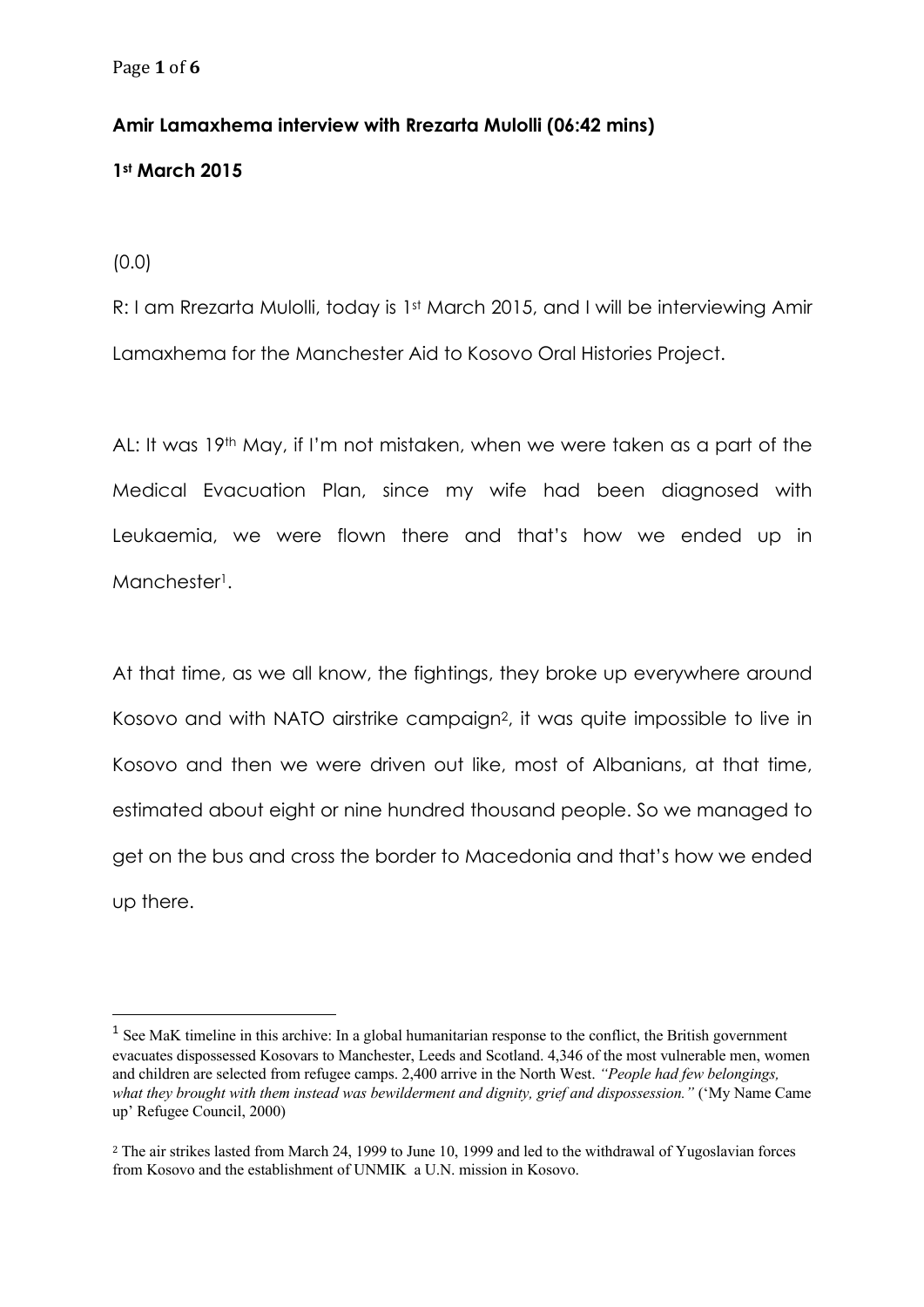## **Amir Lamaxhema interview with Rrezarta Mulolli (06:42 mins)**

## **1st March 2015**

(0.0)

R: I am Rrezarta Mulolli, today is 1st March 2015, and I will be interviewing Amir Lamaxhema for the Manchester Aid to Kosovo Oral Histories Project.

AL: It was 19<sup>th</sup> May, if I'm not mistaken, when we were taken as a part of the Medical Evacuation Plan, since my wife had been diagnosed with Leukaemia, we were flown there and that's how we ended up in Manchester<sup>1</sup>.

At that time, as we all know, the fightings, they broke up everywhere around Kosovo and with NATO airstrike campaign2, it was quite impossible to live in Kosovo and then we were driven out like, most of Albanians, at that time, estimated about eight or nine hundred thousand people. So we managed to get on the bus and cross the border to Macedonia and that's how we ended up there.

<sup>&</sup>lt;sup>1</sup> See MaK timeline in this archive: In a global humanitarian response to the conflict, the British government evacuates dispossessed Kosovars to Manchester, Leeds and Scotland. 4,346 of the most vulnerable men, women and children are selected from refugee camps. 2,400 arrive in the North West. *"People had few belongings, what they brought with them instead was bewilderment and dignity, grief and dispossession."* ('My Name Came up' Refugee Council, 2000)

<sup>2</sup> The air strikes lasted from March 24, 1999 to June 10, 1999 and led to the withdrawal of Yugoslavian forces from Kosovo and the establishment of UNMIK a U.N. mission in Kosovo.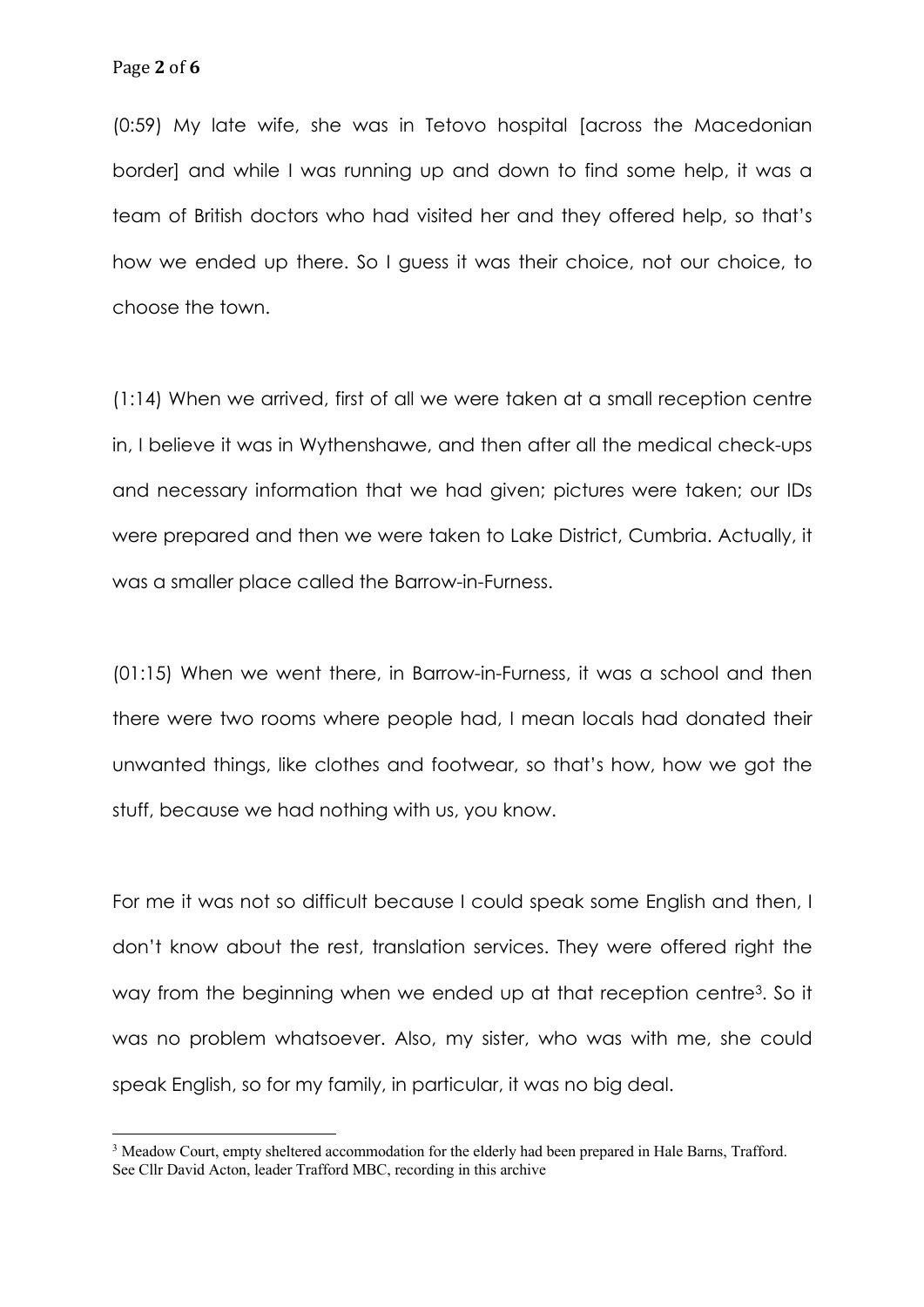(0:59) My late wife, she was in Tetovo hospital [across the Macedonian border] and while I was running up and down to find some help, it was a team of British doctors who had visited her and they offered help, so that's how we ended up there. So I guess it was their choice, not our choice, to choose the town.

(1:14) When we arrived, first of all we were taken at a small reception centre in, I believe it was in Wythenshawe, and then after all the medical check-ups and necessary information that we had given; pictures were taken; our IDs were prepared and then we were taken to Lake District, Cumbria. Actually, it was a smaller place called the Barrow-in-Furness.

(01:15) When we went there, in Barrow-in-Furness, it was a school and then there were two rooms where people had, I mean locals had donated their unwanted things, like clothes and footwear, so that's how, how we got the stuff, because we had nothing with us, you know.

For me it was not so difficult because I could speak some English and then, I don't know about the rest, translation services. They were offered right the way from the beginning when we ended up at that reception centre<sup>3</sup>. So it was no problem whatsoever. Also, my sister, who was with me, she could speak English, so for my family, in particular, it was no big deal.

<sup>&</sup>lt;sup>3</sup> Meadow Court, empty sheltered accommodation for the elderly had been prepared in Hale Barns, Trafford. See Cllr David Acton, leader Trafford MBC, recording in this archive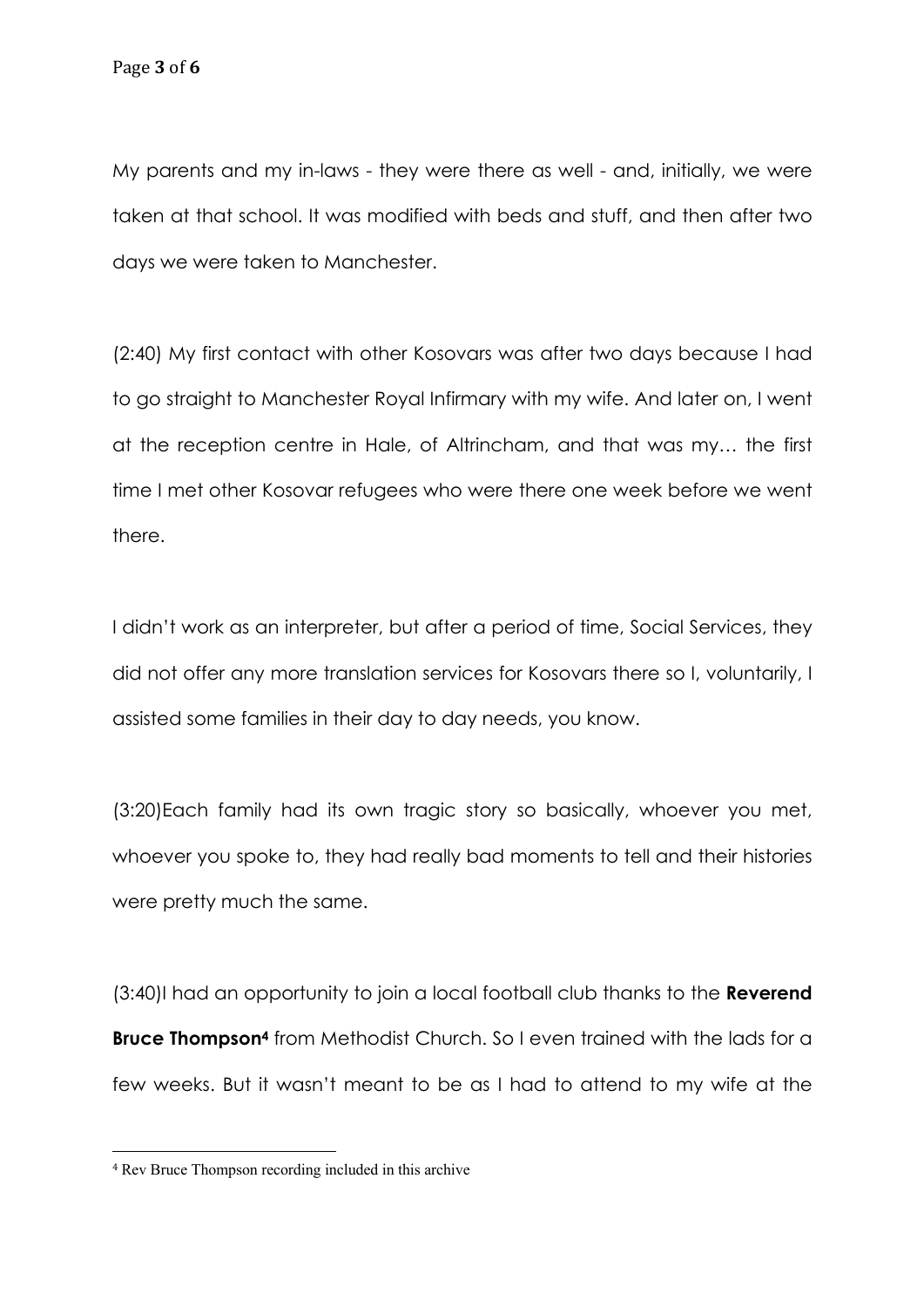My parents and my in-laws - they were there as well - and, initially, we were taken at that school. It was modified with beds and stuff, and then after two days we were taken to Manchester.

(2:40) My first contact with other Kosovars was after two days because I had to go straight to Manchester Royal Infirmary with my wife. And later on, I went at the reception centre in Hale, of Altrincham, and that was my… the first time I met other Kosovar refugees who were there one week before we went there.

I didn't work as an interpreter, but after a period of time, Social Services, they did not offer any more translation services for Kosovars there so I, voluntarily, I assisted some families in their day to day needs, you know.

(3:20)Each family had its own tragic story so basically, whoever you met, whoever you spoke to, they had really bad moments to tell and their histories were pretty much the same.

(3:40)I had an opportunity to join a local football club thanks to the **Reverend Bruce Thompson4** from Methodist Church. So I even trained with the lads for a few weeks. But it wasn't meant to be as I had to attend to my wife at the

<sup>4</sup> Rev Bruce Thompson recording included in this archive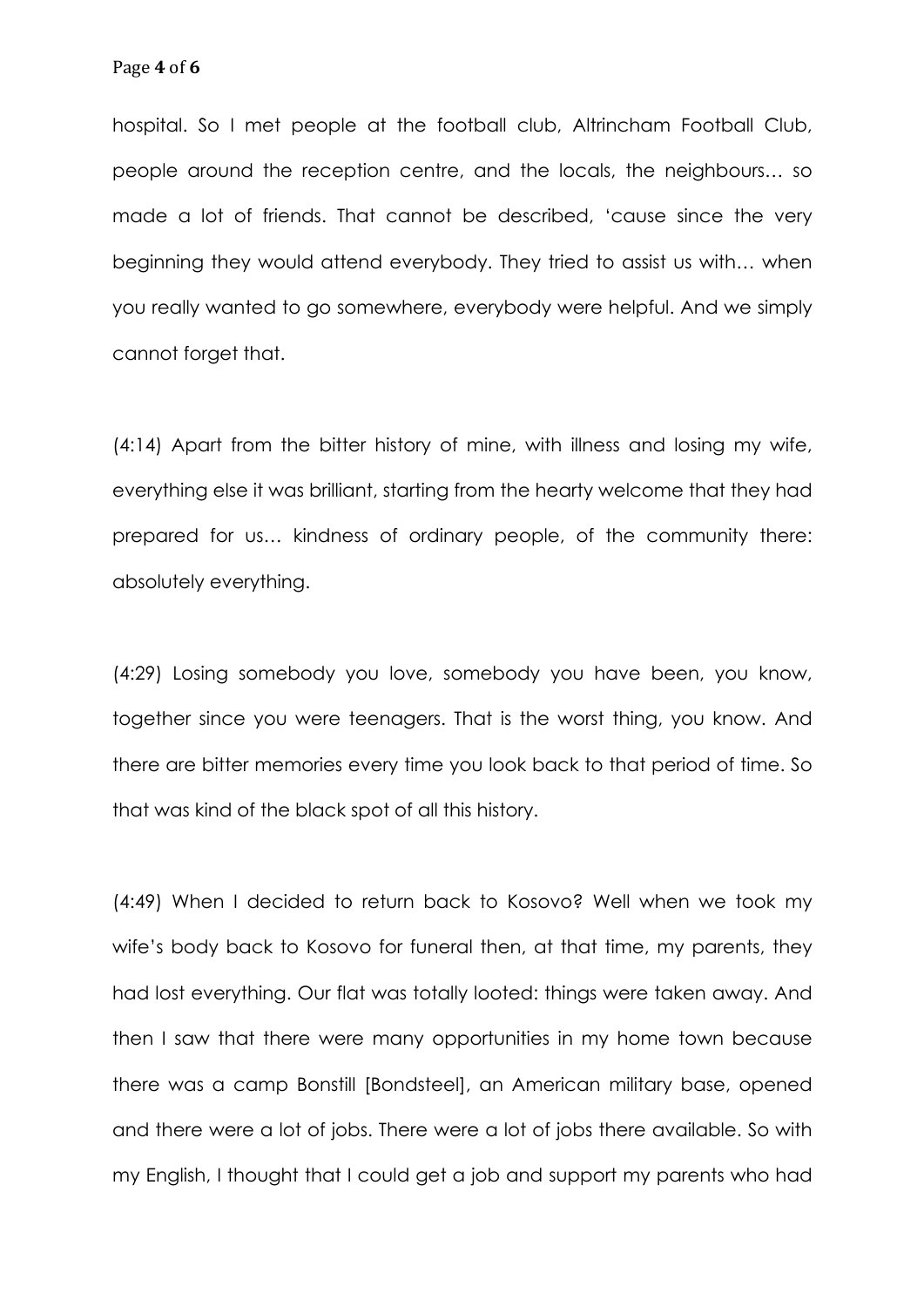hospital. So I met people at the football club, Altrincham Football Club, people around the reception centre, and the locals, the neighbours… so made a lot of friends. That cannot be described, 'cause since the very beginning they would attend everybody. They tried to assist us with… when you really wanted to go somewhere, everybody were helpful. And we simply cannot forget that.

(4:14) Apart from the bitter history of mine, with illness and losing my wife, everything else it was brilliant, starting from the hearty welcome that they had prepared for us… kindness of ordinary people, of the community there: absolutely everything.

(4:29) Losing somebody you love, somebody you have been, you know, together since you were teenagers. That is the worst thing, you know. And there are bitter memories every time you look back to that period of time. So that was kind of the black spot of all this history.

(4:49) When I decided to return back to Kosovo? Well when we took my wife's body back to Kosovo for funeral then, at that time, my parents, they had lost everything. Our flat was totally looted: things were taken away. And then I saw that there were many opportunities in my home town because there was a camp Bonstill [Bondsteel], an American military base, opened and there were a lot of jobs. There were a lot of jobs there available. So with my English, I thought that I could get a job and support my parents who had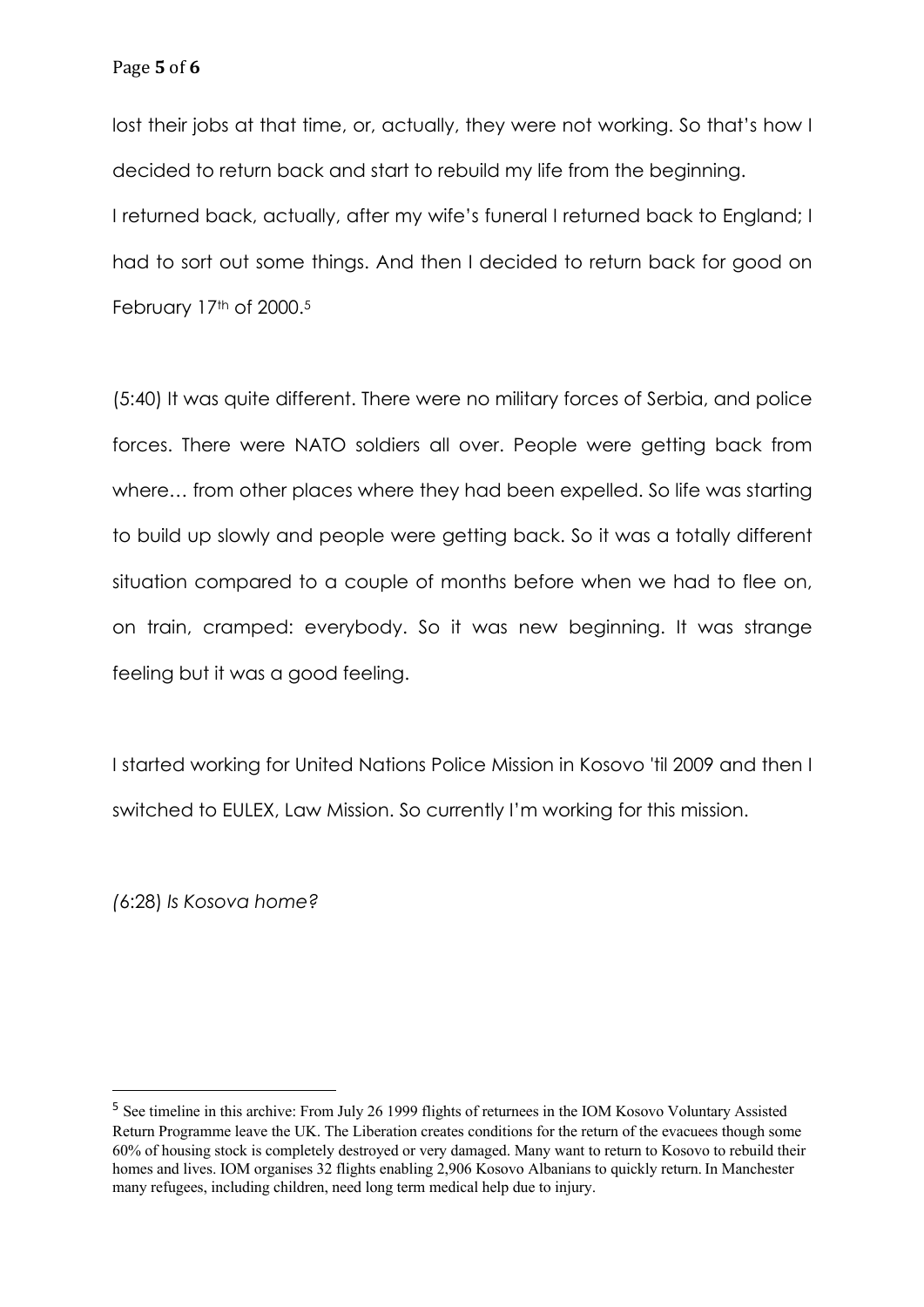lost their jobs at that time, or, actually, they were not working. So that's how I decided to return back and start to rebuild my life from the beginning. I returned back, actually, after my wife's funeral I returned back to England; I had to sort out some things. And then I decided to return back for good on February 17th of 2000.<sup>5</sup>

(5:40) It was quite different. There were no military forces of Serbia, and police forces. There were NATO soldiers all over. People were getting back from where... from other places where they had been expelled. So life was starting to build up slowly and people were getting back. So it was a totally different situation compared to a couple of months before when we had to flee on, on train, cramped: everybody. So it was new beginning. It was strange feeling but it was a good feeling.

I started working for United Nations Police Mission in Kosovo 'til 2009 and then I switched to EULEX, Law Mission. So currently I'm working for this mission.

*(*6:28) *Is Kosova home?*

<sup>5</sup> See timeline in this archive: From July 26 1999 flights of returnees in the IOM Kosovo Voluntary Assisted Return Programme leave the UK. The Liberation creates conditions for the return of the evacuees though some 60% of housing stock is completely destroyed or very damaged. Many want to return to Kosovo to rebuild their homes and lives. IOM organises 32 flights enabling 2,906 Kosovo Albanians to quickly return. In Manchester many refugees, including children, need long term medical help due to injury.